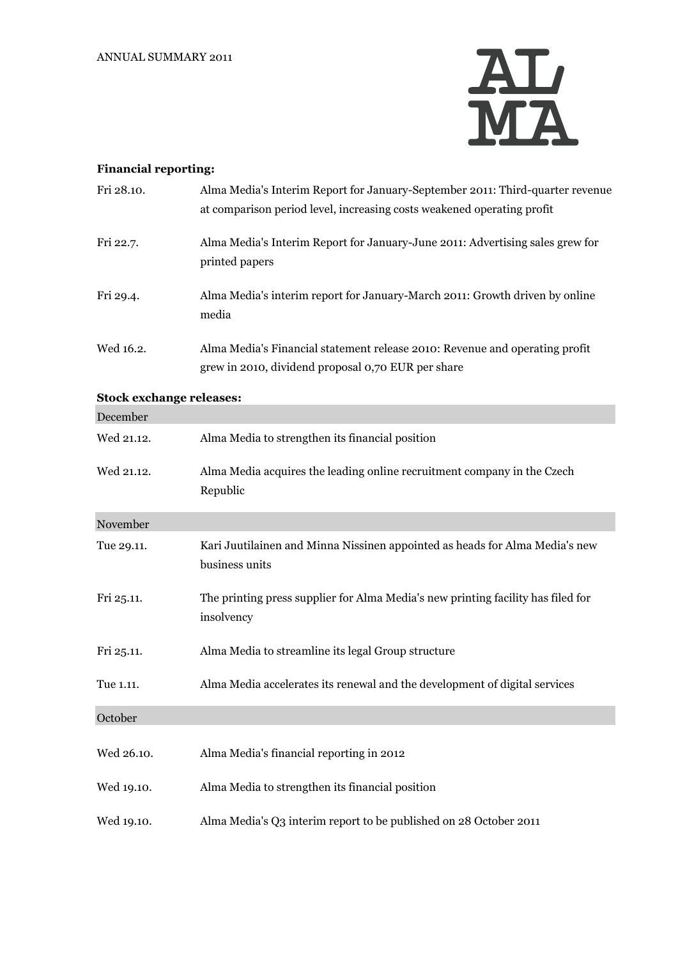

## **Financial reporting:**

| Fri 28.10.                      | Alma Media's Interim Report for January-September 2011: Third-quarter revenue<br>at comparison period level, increasing costs weakened operating profit |
|---------------------------------|---------------------------------------------------------------------------------------------------------------------------------------------------------|
| Fri 22.7.                       | Alma Media's Interim Report for January-June 2011: Advertising sales grew for<br>printed papers                                                         |
| Fri 29.4.                       | Alma Media's interim report for January-March 2011: Growth driven by online<br>media                                                                    |
| Wed 16.2.                       | Alma Media's Financial statement release 2010: Revenue and operating profit<br>grew in 2010, dividend proposal 0,70 EUR per share                       |
| <b>Stock exchange releases:</b> |                                                                                                                                                         |
| December                        |                                                                                                                                                         |
| Wed 21.12.                      | Alma Media to strengthen its financial position                                                                                                         |
| Wed 21.12.                      | Alma Media acquires the leading online recruitment company in the Czech<br>Republic                                                                     |
| November                        |                                                                                                                                                         |
| Tue 29.11.                      | Kari Juutilainen and Minna Nissinen appointed as heads for Alma Media's new<br>business units                                                           |
| Fri 25.11.                      | The printing press supplier for Alma Media's new printing facility has filed for<br>insolvency                                                          |
| Fri 25.11.                      | Alma Media to streamline its legal Group structure                                                                                                      |
| Tue 1.11.                       | Alma Media accelerates its renewal and the development of digital services                                                                              |
| October                         |                                                                                                                                                         |
| Wed 26.10.                      | Alma Media's financial reporting in 2012                                                                                                                |
| Wed 19.10.                      | Alma Media to strengthen its financial position                                                                                                         |
| Wed 19.10.                      | Alma Media's Q3 interim report to be published on 28 October 2011                                                                                       |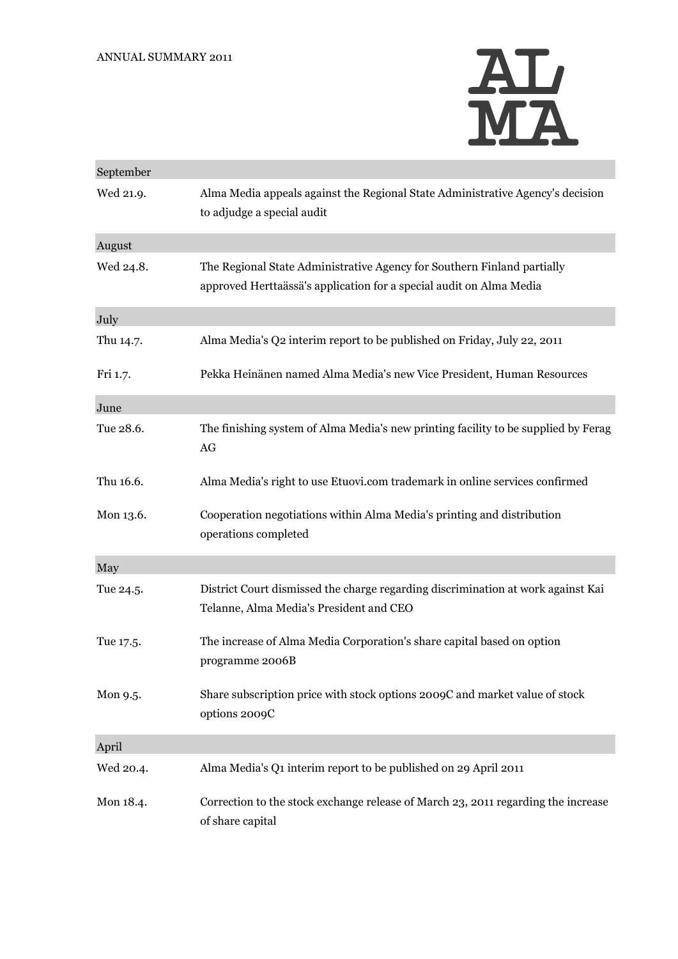

| September |                                                                                                                                                |
|-----------|------------------------------------------------------------------------------------------------------------------------------------------------|
| Wed 21.9. | Alma Media appeals against the Regional State Administrative Agency's decision<br>to adjudge a special audit                                   |
| August    |                                                                                                                                                |
| Wed 24.8. | The Regional State Administrative Agency for Southern Finland partially<br>approved Herttaässä's application for a special audit on Alma Media |
| July      |                                                                                                                                                |
| Thu 14.7. | Alma Media's Q2 interim report to be published on Friday, July 22, 2011                                                                        |
| Fri 1.7.  | Pekka Heinänen named Alma Media's new Vice President, Human Resources                                                                          |
| June      |                                                                                                                                                |
| Tue 28.6. | The finishing system of Alma Media's new printing facility to be supplied by Ferag<br>AG                                                       |
| Thu 16.6. | Alma Media's right to use Etuovi.com trademark in online services confirmed                                                                    |
| Mon 13.6. | Cooperation negotiations within Alma Media's printing and distribution<br>operations completed                                                 |
| May       |                                                                                                                                                |
| Tue 24.5. | District Court dismissed the charge regarding discrimination at work against Kai<br>Telanne, Alma Media's President and CEO                    |
| Tue 17.5. | The increase of Alma Media Corporation's share capital based on option<br>programme 2006B                                                      |
| Mon 9.5.  | Share subscription price with stock options 2009C and market value of stock<br>options 2009C                                                   |
| April     |                                                                                                                                                |
| Wed 20.4. | Alma Media's Q1 interim report to be published on 29 April 2011                                                                                |
| Mon 18.4. | Correction to the stock exchange release of March 23, 2011 regarding the increase<br>of share capital                                          |